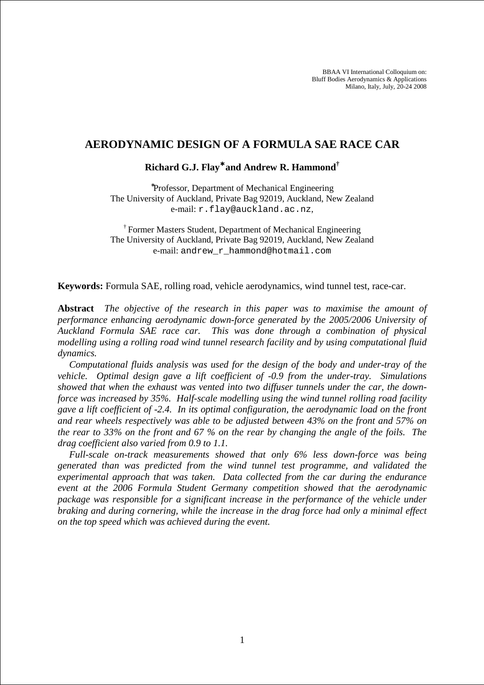BBAA VI International Colloquium on: Bluff Bodies Aerodynamics & Applications Milano, Italy, July, 20-24 2008

# **AERODYNAMIC DESIGN OF A FORMULA SAE RACE CAR**

## **Richard G.J. Flay**<sup>∗</sup> **and Andrew R. Hammond†**

∗ Professor, Department of Mechanical Engineering The University of Auckland, Private Bag 92019, Auckland, New Zealand e-mail: r.flay@auckland.ac.nz,

† Former Masters Student, Department of Mechanical Engineering The University of Auckland, Private Bag 92019, Auckland, New Zealand e-mail: andrew\_r\_hammond@hotmail.com

**Keywords:** Formula SAE, rolling road, vehicle aerodynamics, wind tunnel test, race-car.

**Abstract** *The objective of the research in this paper was to maximise the amount of performance enhancing aerodynamic down-force generated by the 2005/2006 University of Auckland Formula SAE race car. This was done through a combination of physical modelling using a rolling road wind tunnel research facility and by using computational fluid dynamics.* 

*Computational fluids analysis was used for the design of the body and under-tray of the vehicle. Optimal design gave a lift coefficient of -0.9 from the under-tray. Simulations showed that when the exhaust was vented into two diffuser tunnels under the car, the downforce was increased by 35%. Half-scale modelling using the wind tunnel rolling road facility gave a lift coefficient of -2.4. In its optimal configuration, the aerodynamic load on the front and rear wheels respectively was able to be adjusted between 43% on the front and 57% on the rear to 33% on the front and 67 % on the rear by changing the angle of the foils. The drag coefficient also varied from 0.9 to 1.1.* 

*Full-scale on-track measurements showed that only 6% less down-force was being generated than was predicted from the wind tunnel test programme, and validated the experimental approach that was taken. Data collected from the car during the endurance event at the 2006 Formula Student Germany competition showed that the aerodynamic package was responsible for a significant increase in the performance of the vehicle under braking and during cornering, while the increase in the drag force had only a minimal effect on the top speed which was achieved during the event.*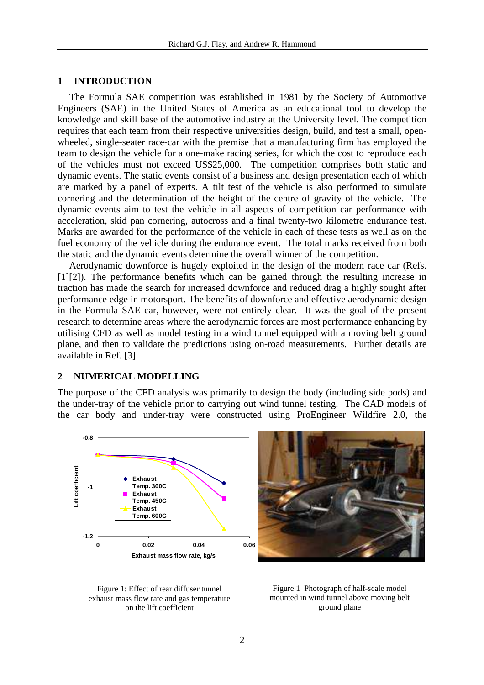#### **1 INTRODUCTION**

The Formula SAE competition was established in 1981 by the Society of Automotive Engineers (SAE) in the United States of America as an educational tool to develop the knowledge and skill base of the automotive industry at the University level. The competition requires that each team from their respective universities design, build, and test a small, openwheeled, single-seater race-car with the premise that a manufacturing firm has employed the team to design the vehicle for a one-make racing series, for which the cost to reproduce each of the vehicles must not exceed US\$25,000. The competition comprises both static and dynamic events. The static events consist of a business and design presentation each of which are marked by a panel of experts. A tilt test of the vehicle is also performed to simulate cornering and the determination of the height of the centre of gravity of the vehicle. The dynamic events aim to test the vehicle in all aspects of competition car performance with acceleration, skid pan cornering, autocross and a final twenty-two kilometre endurance test. Marks are awarded for the performance of the vehicle in each of these tests as well as on the fuel economy of the vehicle during the endurance event. The total marks received from both the static and the dynamic events determine the overall winner of the competition.

Aerodynamic downforce is hugely exploited in the design of the modern race car (Refs. [1][2]). The performance benefits which can be gained through the resulting increase in traction has made the search for increased downforce and reduced drag a highly sought after performance edge in motorsport. The benefits of downforce and effective aerodynamic design in the Formula SAE car, however, were not entirely clear. It was the goal of the present research to determine areas where the aerodynamic forces are most performance enhancing by utilising CFD as well as model testing in a wind tunnel equipped with a moving belt ground plane, and then to validate the predictions using on-road measurements. Further details are available in Ref. [3].

#### **2 NUMERICAL MODELLING**

The purpose of the CFD analysis was primarily to design the body (including side pods) and the under-tray of the vehicle prior to carrying out wind tunnel testing. The CAD models of the car body and under-tray were constructed using ProEngineer Wildfire 2.0, the







Figure 1 Photograph of half-scale model mounted in wind tunnel above moving belt ground plane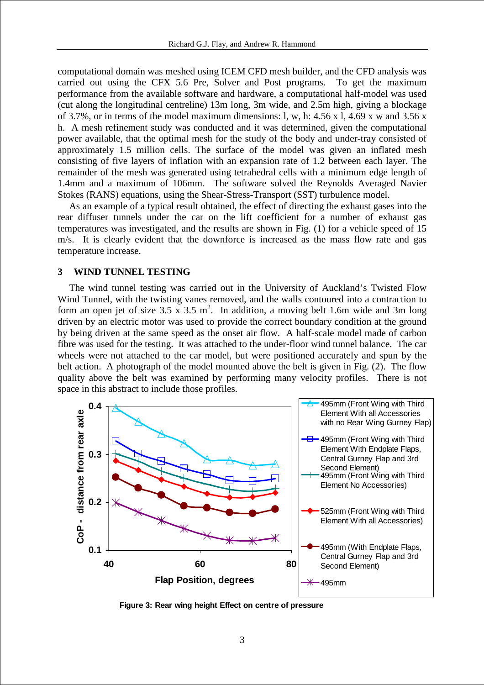computational domain was meshed using ICEM CFD mesh builder, and the CFD analysis was carried out using the CFX 5.6 Pre, Solver and Post programs. To get the maximum performance from the available software and hardware, a computational half-model was used (cut along the longitudinal centreline) 13m long, 3m wide, and 2.5m high, giving a blockage of 3.7%, or in terms of the model maximum dimensions: l, w, h: 4.56 x l, 4.69 x w and 3.56 x h. A mesh refinement study was conducted and it was determined, given the computational power available, that the optimal mesh for the study of the body and under-tray consisted of approximately 1.5 million cells. The surface of the model was given an inflated mesh consisting of five layers of inflation with an expansion rate of 1.2 between each layer. The remainder of the mesh was generated using tetrahedral cells with a minimum edge length of 1.4mm and a maximum of 106mm. The software solved the Reynolds Averaged Navier Stokes (RANS) equations, using the Shear-Stress-Transport (SST) turbulence model.

As an example of a typical result obtained, the effect of directing the exhaust gases into the rear diffuser tunnels under the car on the lift coefficient for a number of exhaust gas temperatures was investigated, and the results are shown in Fig. (1) for a vehicle speed of 15 m/s. It is clearly evident that the downforce is increased as the mass flow rate and gas temperature increase.

## **3 WIND TUNNEL TESTING**

The wind tunnel testing was carried out in the University of Auckland's Twisted Flow Wind Tunnel, with the twisting vanes removed, and the walls contoured into a contraction to form an open jet of size  $3.5 \times 3.5 \text{ m}^2$ . In addition, a moving belt 1.6m wide and 3m long driven by an electric motor was used to provide the correct boundary condition at the ground by being driven at the same speed as the onset air flow. A half-scale model made of carbon fibre was used for the testing. It was attached to the under-floor wind tunnel balance. The car wheels were not attached to the car model, but were positioned accurately and spun by the belt action. A photograph of the model mounted above the belt is given in Fig. (2). The flow quality above the belt was examined by performing many velocity profiles. There is not space in this abstract to include those profiles.



**Figure 3: Rear wing height Effect on centre of pressure**